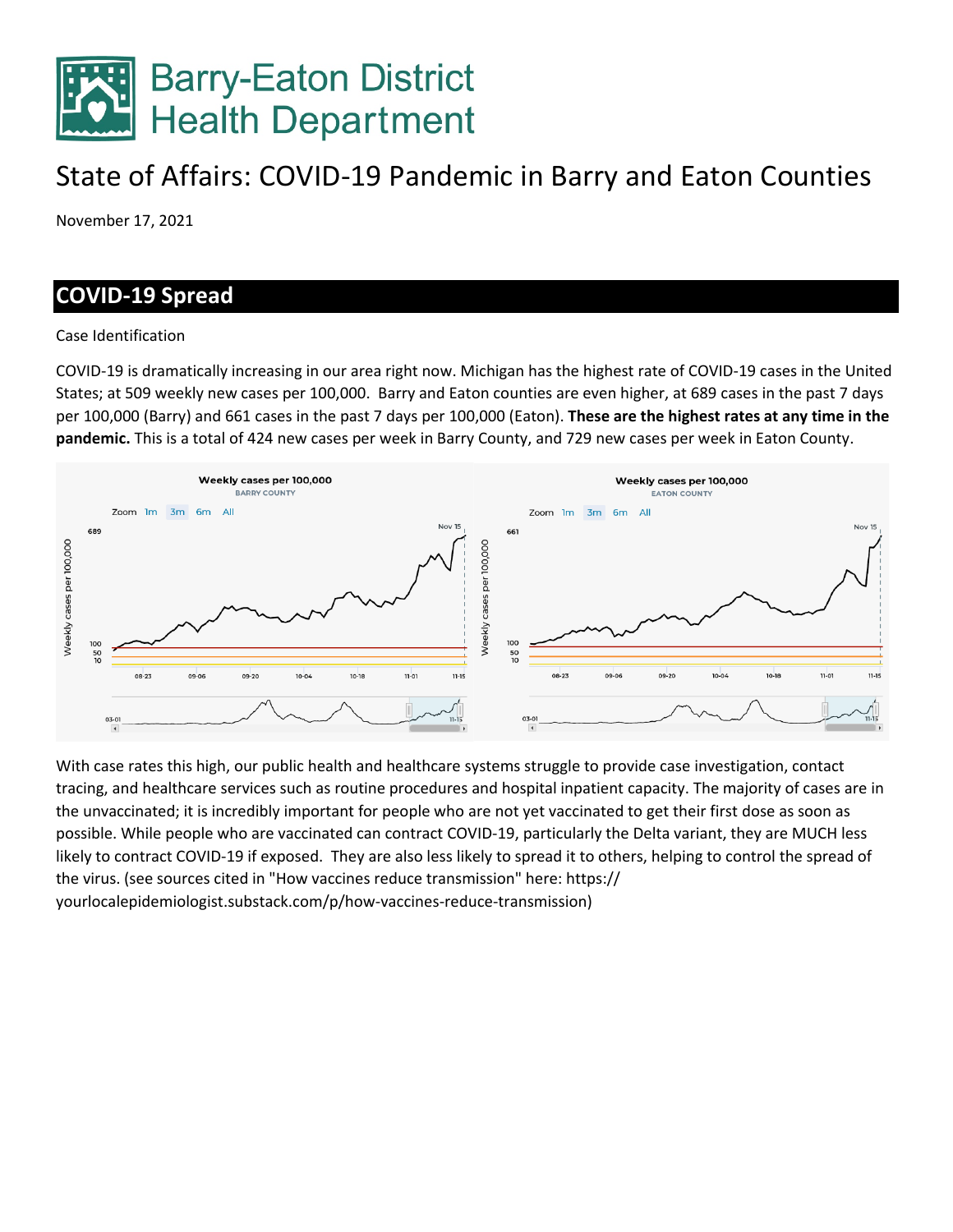

# State of Affairs: COVID-19 Pandemic in Barry and Eaton Counties

November 17, 2021

## **COVID-19 Spread**

#### Case Identification

COVID-19 is dramatically increasing in our area right now. Michigan has the highest rate of COVID-19 cases in the United States; at 509 weekly new cases per 100,000. Barry and Eaton counties are even higher, at 689 cases in the past 7 days per 100,000 (Barry) and 661 cases in the past 7 days per 100,000 (Eaton). **These are the highest rates at any time in the pandemic.** This is a total of 424 new cases per week in Barry County, and 729 new cases per week in Eaton County.



With case rates this high, our public health and healthcare systems struggle to provide case investigation, contact tracing, and healthcare services such as routine procedures and hospital inpatient capacity. The majority of cases are in the unvaccinated; it is incredibly important for people who are not yet vaccinated to get their first dose as soon as possible. While people who are vaccinated can contract COVID-19, particularly the Delta variant, they are MUCH less likely to contract COVID-19 if exposed. They are also less likely to spread it to others, helping to control the spread of the virus. (see sources cited in "How vaccines reduce transmission" here: https:// yourlocalepidemiologist.substack.com/p/how-vaccines-reduce-transmission)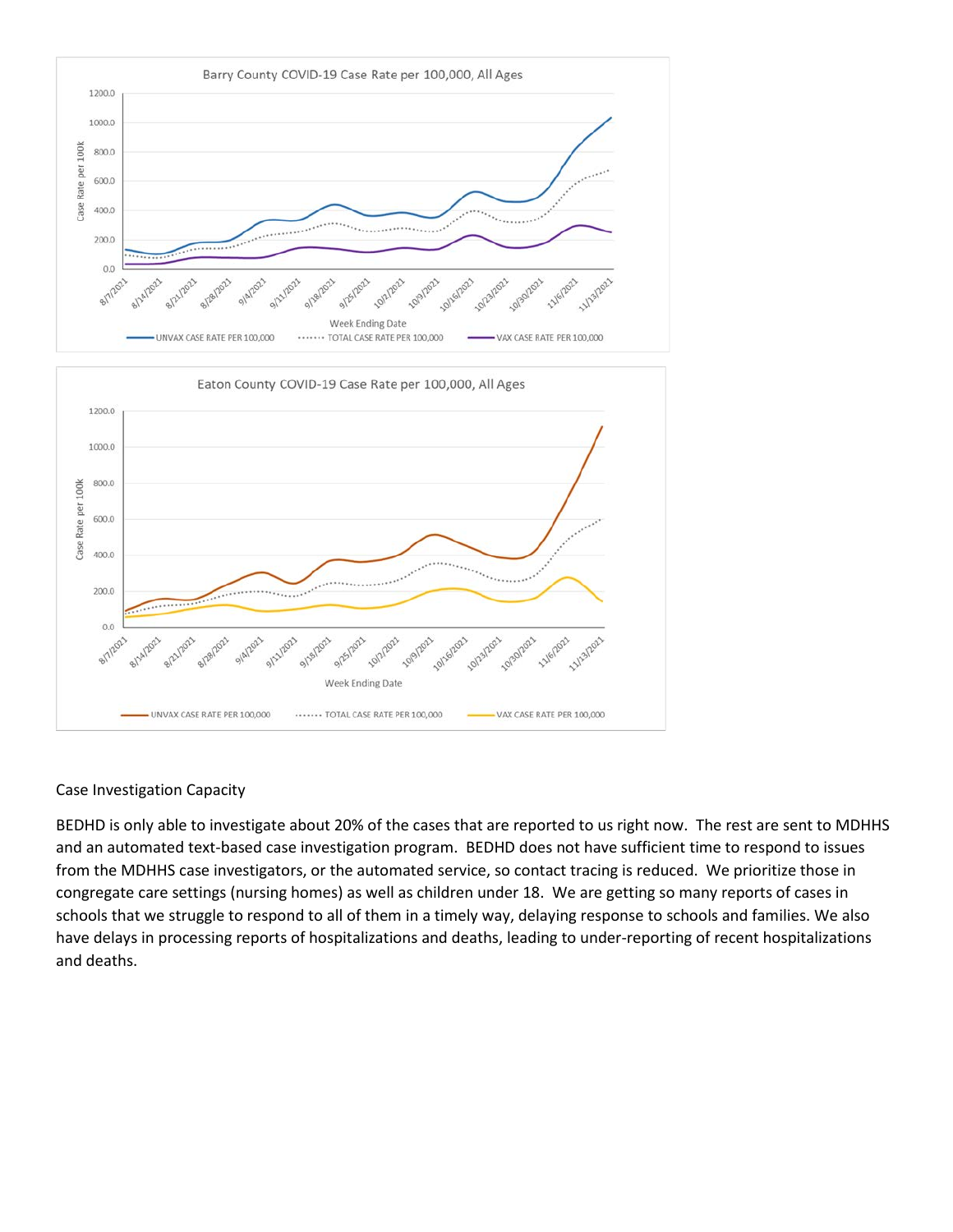

#### Case Investigation Capacity

BEDHD is only able to investigate about 20% of the cases that are reported to us right now. The rest are sent to MDHHS and an automated text-based case investigation program. BEDHD does not have sufficient time to respond to issues from the MDHHS case investigators, or the automated service, so contact tracing is reduced. We prioritize those in congregate care settings (nursing homes) as well as children under 18. We are getting so many reports of cases in schools that we struggle to respond to all of them in a timely way, delaying response to schools and families. We also have delays in processing reports of hospitalizations and deaths, leading to under-reporting of recent hospitalizations and deaths.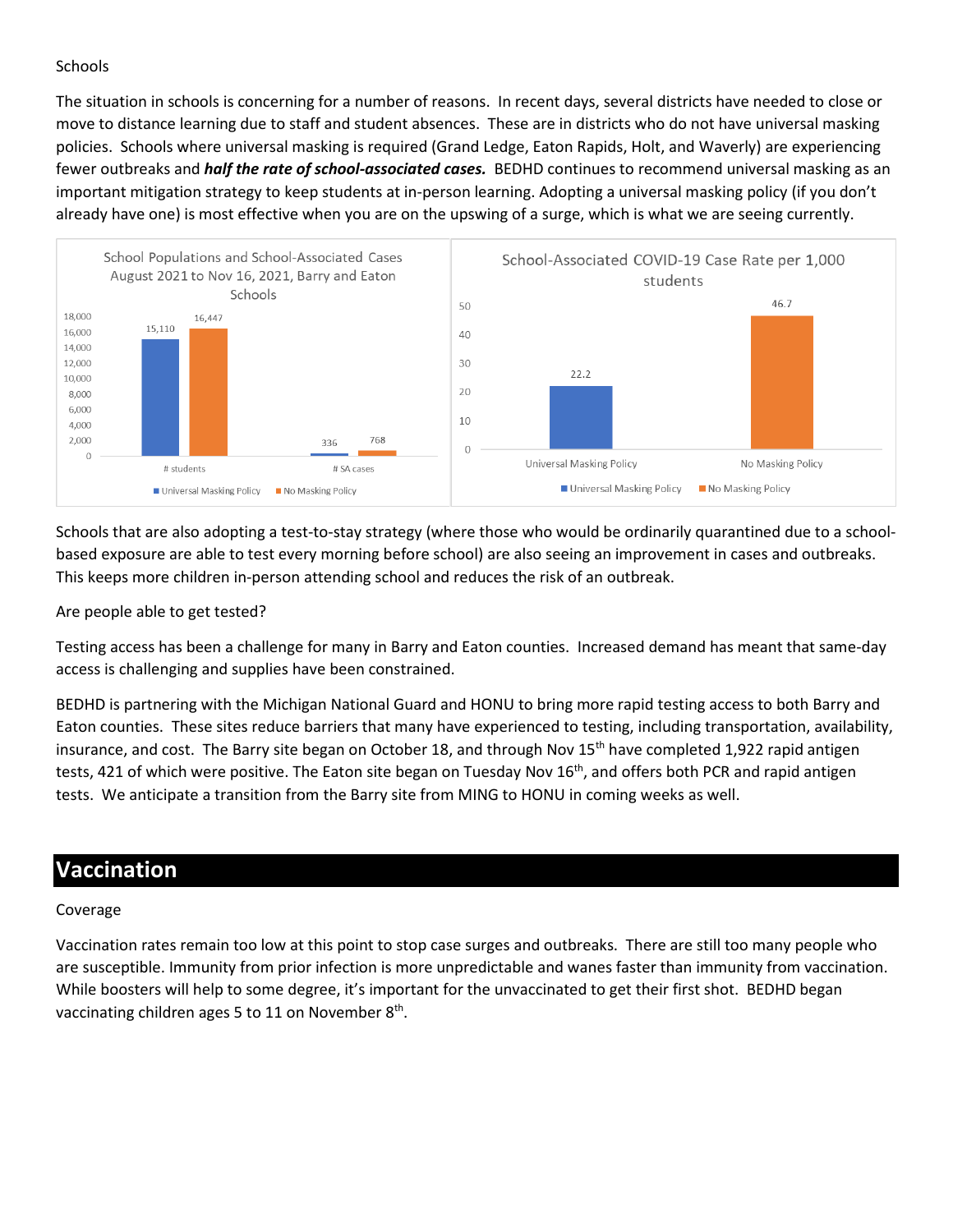#### **Schools**

The situation in schools is concerning for a number of reasons. In recent days, several districts have needed to close or move to distance learning due to staff and student absences. These are in districts who do not have universal masking policies. Schools where universal masking is required (Grand Ledge, Eaton Rapids, Holt, and Waverly) are experiencing fewer outbreaks and *half the rate of school-associated cases.* BEDHD continues to recommend universal masking as an important mitigation strategy to keep students at in-person learning. Adopting a universal masking policy (if you don't already have one) is most effective when you are on the upswing of a surge, which is what we are seeing currently.



Schools that are also adopting a test-to-stay strategy (where those who would be ordinarily quarantined due to a schoolbased exposure are able to test every morning before school) are also seeing an improvement in cases and outbreaks. This keeps more children in-person attending school and reduces the risk of an outbreak.

Are people able to get tested?

Testing access has been a challenge for many in Barry and Eaton counties. Increased demand has meant that same-day access is challenging and supplies have been constrained.

BEDHD is partnering with the Michigan National Guard and HONU to bring more rapid testing access to both Barry and Eaton counties. These sites reduce barriers that many have experienced to testing, including transportation, availability, insurance, and cost. The Barry site began on October 18, and through Nov  $15<sup>th</sup>$  have completed 1,922 rapid antigen tests, 421 of which were positive. The Eaton site began on Tuesday Nov 16<sup>th</sup>, and offers both PCR and rapid antigen tests. We anticipate a transition from the Barry site from MING to HONU in coming weeks as well.

## **Vaccination**

#### Coverage

Vaccination rates remain too low at this point to stop case surges and outbreaks. There are still too many people who are susceptible. Immunity from prior infection is more unpredictable and wanes faster than immunity from vaccination. While boosters will help to some degree, it's important for the unvaccinated to get their first shot. BEDHD began vaccinating children ages 5 to 11 on November 8<sup>th</sup>.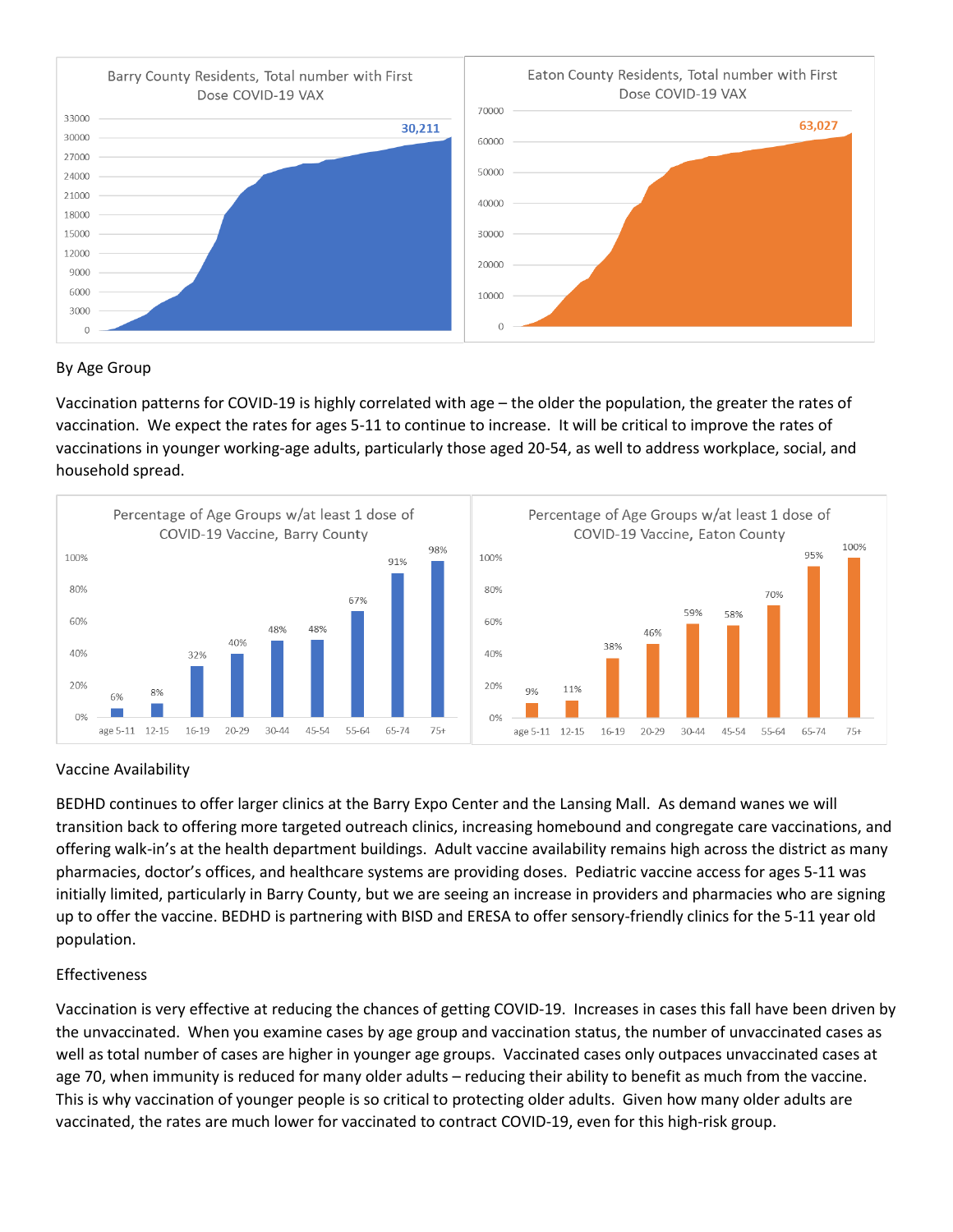

#### By Age Group

Vaccination patterns for COVID-19 is highly correlated with age – the older the population, the greater the rates of vaccination. We expect the rates for ages 5-11 to continue to increase. It will be critical to improve the rates of vaccinations in younger working-age adults, particularly those aged 20-54, as well to address workplace, social, and household spread.



#### Vaccine Availability

BEDHD continues to offer larger clinics at the Barry Expo Center and the Lansing Mall. As demand wanes we will transition back to offering more targeted outreach clinics, increasing homebound and congregate care vaccinations, and offering walk-in's at the health department buildings. Adult vaccine availability remains high across the district as many pharmacies, doctor's offices, and healthcare systems are providing doses. Pediatric vaccine access for ages 5-11 was initially limited, particularly in Barry County, but we are seeing an increase in providers and pharmacies who are signing up to offer the vaccine. BEDHD is partnering with BISD and ERESA to offer sensory-friendly clinics for the 5-11 year old population.

#### Effectiveness

Vaccination is very effective at reducing the chances of getting COVID-19. Increases in cases this fall have been driven by the unvaccinated. When you examine cases by age group and vaccination status, the number of unvaccinated cases as well as total number of cases are higher in younger age groups. Vaccinated cases only outpaces unvaccinated cases at age 70, when immunity is reduced for many older adults – reducing their ability to benefit as much from the vaccine. This is why vaccination of younger people is so critical to protecting older adults. Given how many older adults are vaccinated, the rates are much lower for vaccinated to contract COVID-19, even for this high-risk group.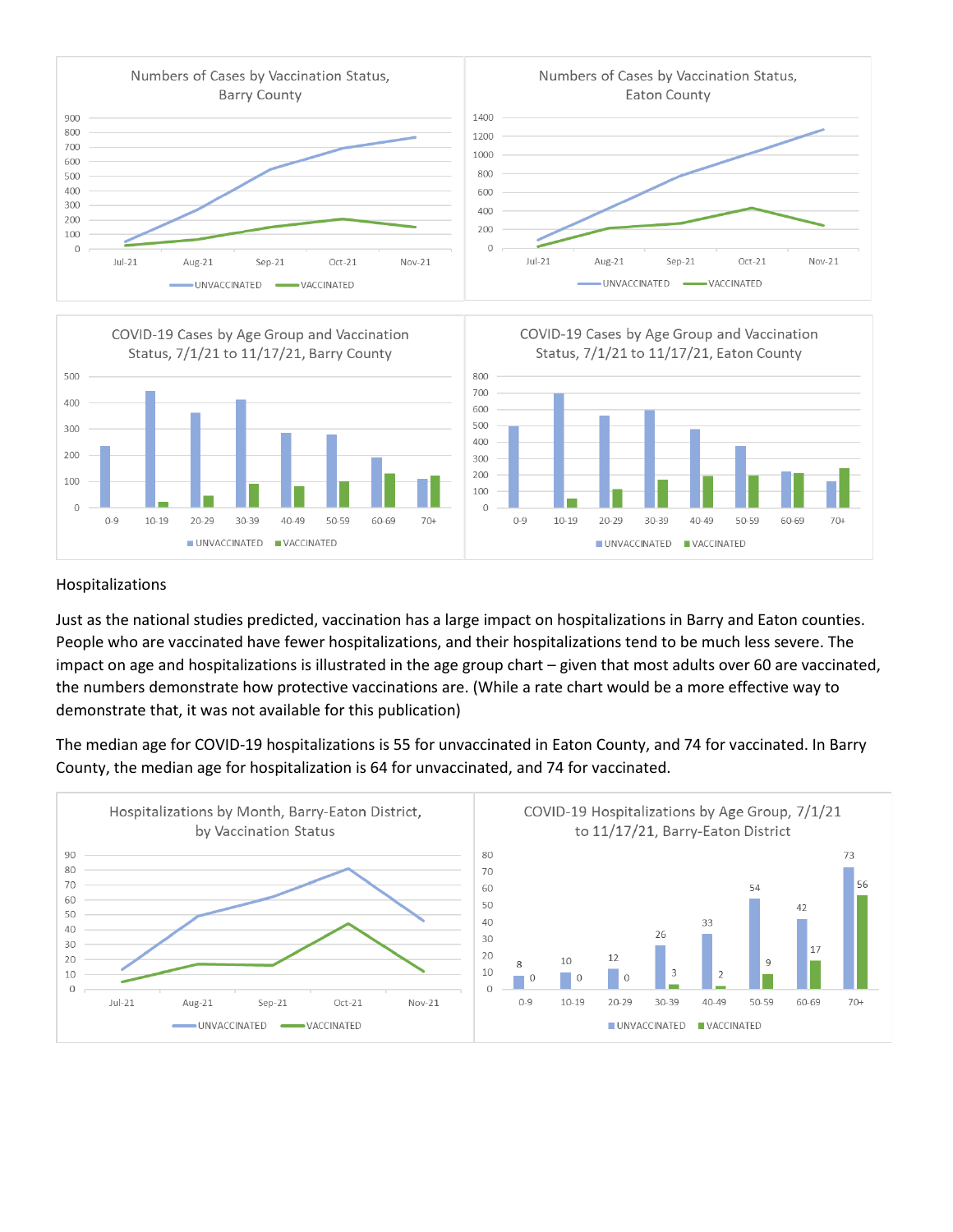



#### Hospitalizations

Just as the national studies predicted, vaccination has a large impact on hospitalizations in Barry and Eaton counties. People who are vaccinated have fewer hospitalizations, and their hospitalizations tend to be much less severe. The impact on age and hospitalizations is illustrated in the age group chart – given that most adults over 60 are vaccinated, the numbers demonstrate how protective vaccinations are. (While a rate chart would be a more effective way to demonstrate that, it was not available for this publication)

The median age for COVID-19 hospitalizations is 55 for unvaccinated in Eaton County, and 74 for vaccinated. In Barry County, the median age for hospitalization is 64 for unvaccinated, and 74 for vaccinated.

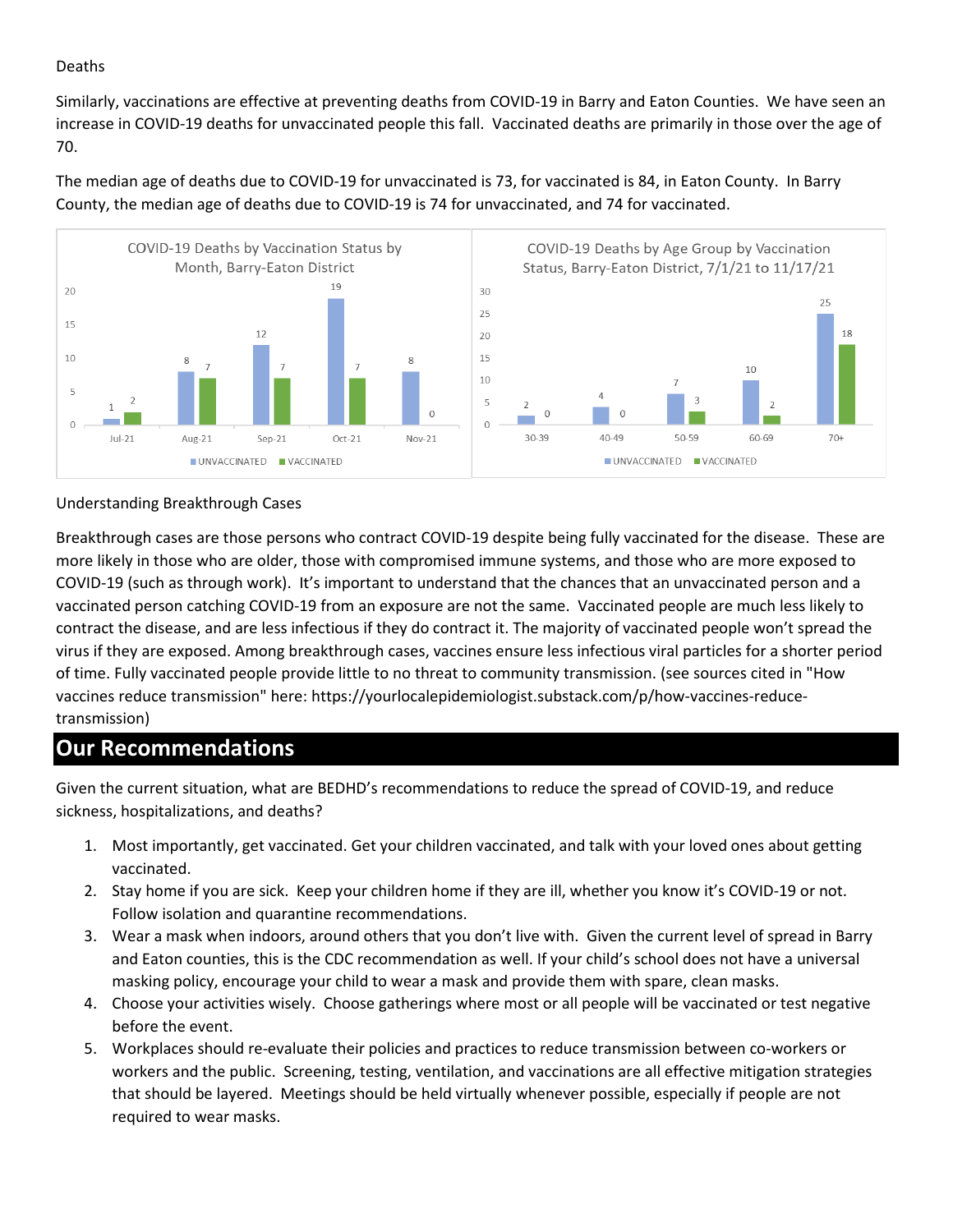#### Deaths

Similarly, vaccinations are effective at preventing deaths from COVID-19 in Barry and Eaton Counties. We have seen an increase in COVID-19 deaths for unvaccinated people this fall. Vaccinated deaths are primarily in those over the age of 70.

The median age of deaths due to COVID-19 for unvaccinated is 73, for vaccinated is 84, in Eaton County. In Barry County, the median age of deaths due to COVID-19 is 74 for unvaccinated, and 74 for vaccinated.



#### Understanding Breakthrough Cases

Breakthrough cases are those persons who contract COVID-19 despite being fully vaccinated for the disease. These are more likely in those who are older, those with compromised immune systems, and those who are more exposed to COVID-19 (such as through work). It's important to understand that the chances that an unvaccinated person and a vaccinated person catching COVID-19 from an exposure are not the same. Vaccinated people are much less likely to contract the disease, and are less infectious if they do contract it. The majority of vaccinated people won't spread the virus if they are exposed. Among breakthrough cases, vaccines ensure less infectious viral particles for a shorter period of time. Fully vaccinated people provide little to no threat to community transmission. (see sources cited in "How vaccines reduce transmission" here: https://yourlocalepidemiologist.substack.com/p/how-vaccines-reducetransmission)

### **Our Recommendations**

Given the current situation, what are BEDHD's recommendations to reduce the spread of COVID-19, and reduce sickness, hospitalizations, and deaths?

- 1. Most importantly, get vaccinated. Get your children vaccinated, and talk with your loved ones about getting vaccinated.
- 2. Stay home if you are sick. Keep your children home if they are ill, whether you know it's COVID-19 or not. Follow isolation and quarantine recommendations.
- 3. Wear a mask when indoors, around others that you don't live with. Given the current level of spread in Barry and Eaton counties, this is the CDC recommendation as well. If your child's school does not have a universal masking policy, encourage your child to wear a mask and provide them with spare, clean masks.
- 4. Choose your activities wisely. Choose gatherings where most or all people will be vaccinated or test negative before the event.
- 5. Workplaces should re-evaluate their policies and practices to reduce transmission between co-workers or workers and the public. Screening, testing, ventilation, and vaccinations are all effective mitigation strategies that should be layered. Meetings should be held virtually whenever possible, especially if people are not required to wear masks.